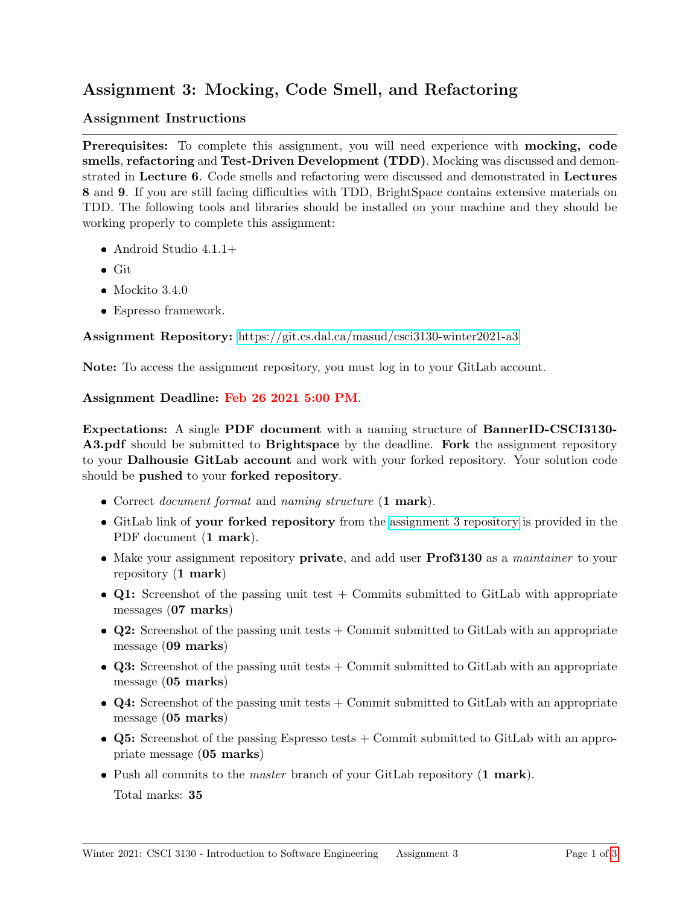# Assignment 3: Mocking, Code Smell, and Refactoring

### Assignment Instructions

Prerequisites: To complete this assignment, you will need experience with mocking, code smells, refactoring and Test-Driven Development (TDD). Mocking was discussed and demonstrated in Lecture 6. Code smells and refactoring were discussed and demonstrated in Lectures 8 and 9. If you are still facing difficulties with TDD, BrightSpace contains extensive materials on TDD. The following tools and libraries should be installed on your machine and they should be working properly to complete this assignment:

- Android Studio 4.1.1+
- $\bullet$  Git
- $\bullet$  Mockito 3.4.0
- Espresso framework.

#### Assignment Repository: <https://git.cs.dal.ca/masud/csci3130-winter2021-a3>

Note: To access the assignment repository, you must log in to your GitLab account.

#### Assignment Deadline: Feb 26 2021 5:00 PM.

Expectations: A single PDF document with a naming structure of BannerID-CSCI3130- A3.pdf should be submitted to Brightspace by the deadline. Fork the assignment repository to your Dalhousie GitLab account and work with your forked repository. Your solution code should be pushed to your forked repository.

- Correct *document format* and *naming structure* (1 mark).
- GitLab link of your forked repository from the [assignment 3 repository](https://git.cs.dal.ca/masud/csci3130-winter2021-a3) is provided in the PDF document  $(1 \text{ mark})$ .
- Make your assignment repository private, and add user Prof3130 as a *maintainer* to your repository (1 mark)
- $\bullet$  Q1: Screenshot of the passing unit test + Commits submitted to GitLab with appropriate messages (07 marks)
- $\bullet$  Q2: Screenshot of the passing unit tests + Commit submitted to GitLab with an appropriate message (09 marks)
- $\bullet$  Q3: Screenshot of the passing unit tests + Commit submitted to GitLab with an appropriate message (05 marks)
- $\bullet$  Q4: Screenshot of the passing unit tests + Commit submitted to GitLab with an appropriate message (05 marks)
- Q5: Screenshot of the passing Espresso tests + Commit submitted to GitLab with an appropriate message (05 marks)
- Push all commits to the *master* branch of your GitLab repository (1 mark). Total marks: 35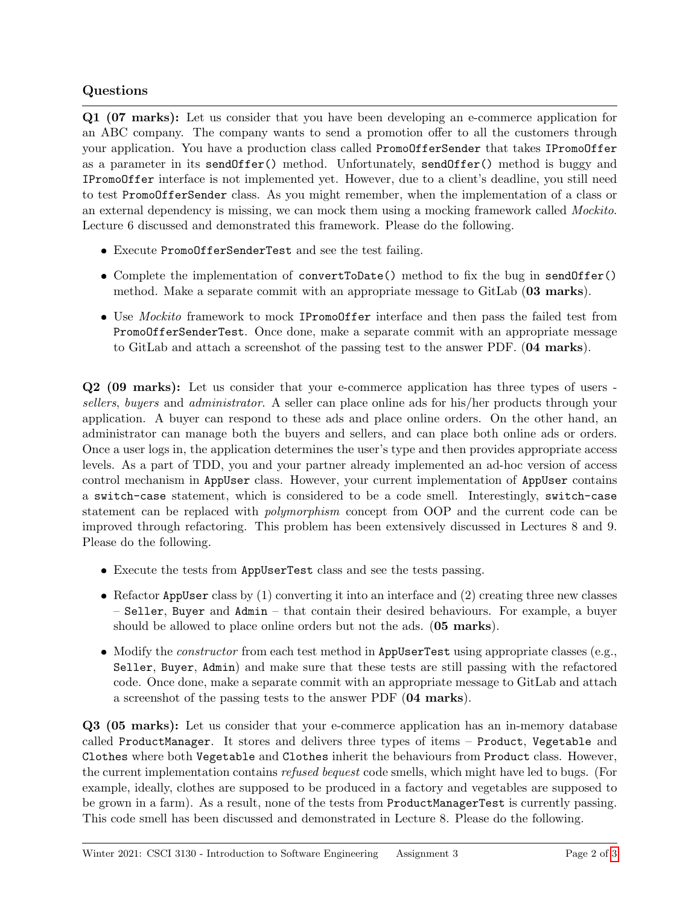## Questions

Q1 (07 marks): Let us consider that you have been developing an e-commerce application for an ABC company. The company wants to send a promotion offer to all the customers through your application. You have a production class called PromoOfferSender that takes IPromoOffer as a parameter in its sendOffer() method. Unfortunately, sendOffer() method is buggy and IPromoOffer interface is not implemented yet. However, due to a client's deadline, you still need to test PromoOfferSender class. As you might remember, when the implementation of a class or an external dependency is missing, we can mock them using a mocking framework called Mockito. Lecture 6 discussed and demonstrated this framework. Please do the following.

- Execute PromoOfferSenderTest and see the test failing.
- Complete the implementation of convertToDate() method to fix the bug in sendOffer() method. Make a separate commit with an appropriate message to GitLab (03 marks).
- Use *Mockito* framework to mock IPromoOffer interface and then pass the failed test from PromoOfferSenderTest. Once done, make a separate commit with an appropriate message to GitLab and attach a screenshot of the passing test to the answer PDF. (04 marks).

Q2 (09 marks): Let us consider that your e-commerce application has three types of users sellers, buyers and *administrator*. A seller can place online ads for his/her products through your application. A buyer can respond to these ads and place online orders. On the other hand, an administrator can manage both the buyers and sellers, and can place both online ads or orders. Once a user logs in, the application determines the user's type and then provides appropriate access levels. As a part of TDD, you and your partner already implemented an ad-hoc version of access control mechanism in AppUser class. However, your current implementation of AppUser contains a switch-case statement, which is considered to be a code smell. Interestingly, switch-case statement can be replaced with *polymorphism* concept from OOP and the current code can be improved through refactoring. This problem has been extensively discussed in Lectures 8 and 9. Please do the following.

- Execute the tests from AppUserTest class and see the tests passing.
- Refactor AppUser class by  $(1)$  converting it into an interface and  $(2)$  creating three new classes – Seller, Buyer and Admin – that contain their desired behaviours. For example, a buyer should be allowed to place online orders but not the ads. (**05 marks**).
- Modify the *constructor* from each test method in AppUserTest using appropriate classes (e.g., Seller, Buyer, Admin) and make sure that these tests are still passing with the refactored code. Once done, make a separate commit with an appropriate message to GitLab and attach a screenshot of the passing tests to the answer PDF (04 marks).

Q3 (05 marks): Let us consider that your e-commerce application has an in-memory database called ProductManager. It stores and delivers three types of items – Product, Vegetable and Clothes where both Vegetable and Clothes inherit the behaviours from Product class. However, the current implementation contains refused bequest code smells, which might have led to bugs. (For example, ideally, clothes are supposed to be produced in a factory and vegetables are supposed to be grown in a farm). As a result, none of the tests from ProductManagerTest is currently passing. This code smell has been discussed and demonstrated in Lecture 8. Please do the following.